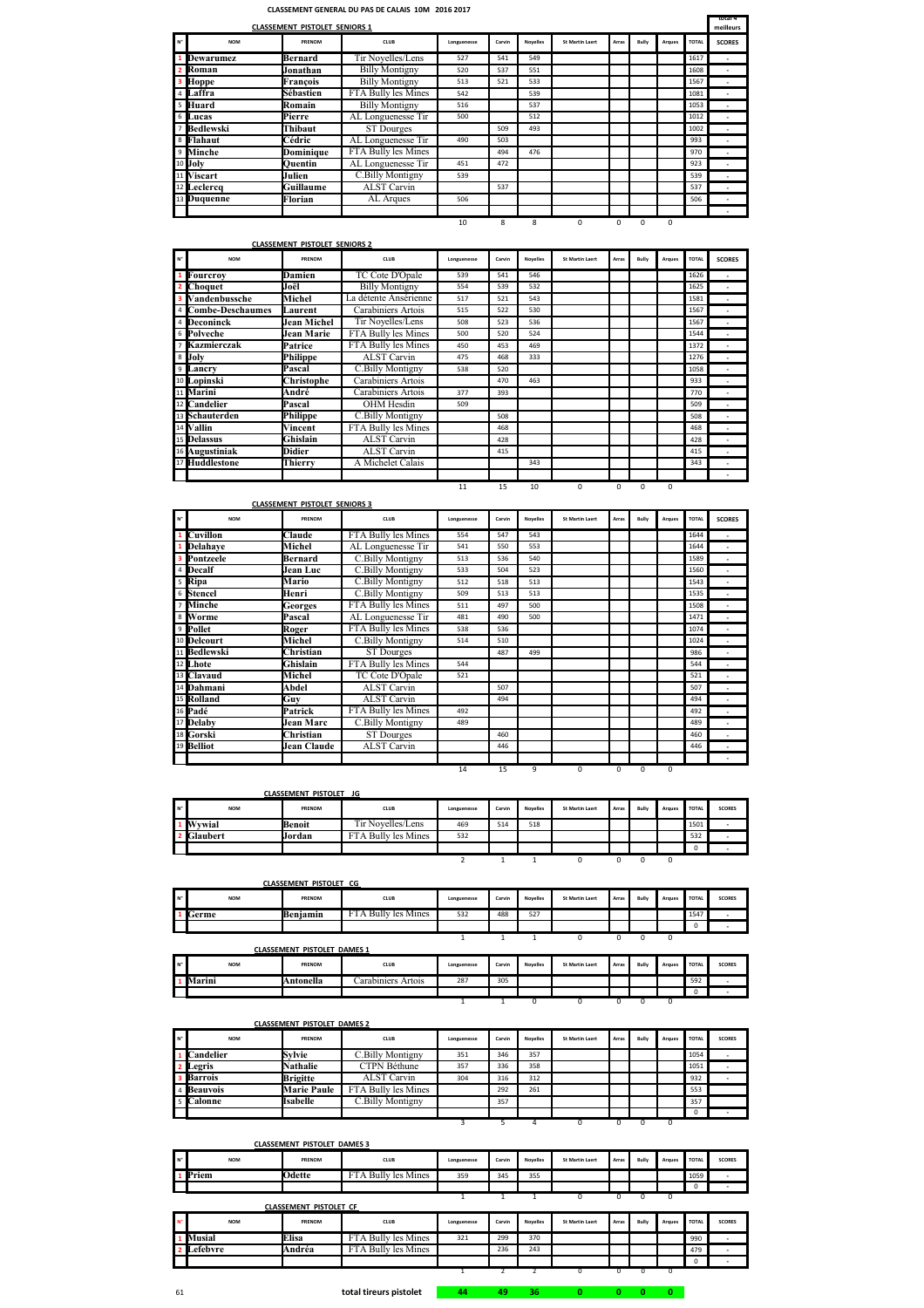## **CLASSEMENT GENERAL DU PAS DE CALAIS 10M 2016 2017**

|       |                | <b>CLASSEMENT PISTOLET SENIORS 1</b> |                       |             |        |                 |                        |       |       |        |              | total 4<br>meilleurs |
|-------|----------------|--------------------------------------|-----------------------|-------------|--------|-----------------|------------------------|-------|-------|--------|--------------|----------------------|
| $N^*$ | <b>NOM</b>     | PRENOM                               | <b>CLUB</b>           | Longuenesse | Carvin | <b>Novelles</b> | <b>St Martin Laert</b> | Arras | Bully | Arques | <b>TOTAL</b> | <b>SCORES</b>        |
|       | 1 Dewarumez    | Bernard                              | Tir Novelles/Lens     | 527         | 541    | 549             |                        |       |       |        | 1617         | ٠                    |
|       | 2 Roman        | Jonathan                             | <b>Billy Montigny</b> | 520         | 537    | 551             |                        |       |       |        | 1608         | ٠                    |
|       | <b>3</b> Hoppe | François                             | <b>Billy Montigny</b> | 513         | 521    | 533             |                        |       |       |        | 1567         |                      |
|       | 4 Laffra       | Sébastien                            | FTA Bully les Mines   | 542         |        | 539             |                        |       |       |        | 1081         |                      |
|       | 5 Huard        | Romain                               | <b>Billy Montigny</b> | 516         |        | 537             |                        |       |       |        | 1053         | ٠                    |
|       | 6 Lucas        | Pierre                               | AL Longuenesse Tir    | 500         |        | 512             |                        |       |       |        | 1012         | ٠                    |
|       | 7 Bedlewski    | Thibaut                              | ST Dourges            |             | 509    | 493             |                        |       |       |        | 1002         |                      |
|       | 8 Flahaut      | Cédric                               | AL Longuenesse Tir    | 490         | 503    |                 |                        |       |       |        | 993          | ۰                    |
|       | 9 Minche       | Dominique                            | FTA Bully les Mines   |             | 494    | 476             |                        |       |       |        | 970          |                      |
|       | 10 Joly        | Ouentin                              | AL Longuenesse Tir    | 451         | 472    |                 |                        |       |       |        | 923          | ٠                    |
|       | 11 Viscart     | Julien                               | C.Billy Montigny      | 539         |        |                 |                        |       |       |        | 539          | ٠                    |
|       | 12 Leclerca    | Guillaume                            | <b>ALST</b> Carvin    |             | 537    |                 |                        |       |       |        | 537          | ٠                    |
|       | 13 Duquenne    | Florian                              | AL Arques             | 506         |        |                 |                        |       |       |        | 506          | ٠                    |
|       |                |                                      |                       |             |        |                 |                        |       |       |        |              |                      |

10 8 8 0 0 0 0

|    | <b>CLASSEMENT PISTOLET SENIORS 2</b> |                              |                       |             |        |                 |                        |       |          |          |              |                          |  |
|----|--------------------------------------|------------------------------|-----------------------|-------------|--------|-----------------|------------------------|-------|----------|----------|--------------|--------------------------|--|
| N° | <b>NOM</b>                           | PRENOM                       | CLUB                  | Longuenesse | Carvin | <b>Novelles</b> | <b>St Martin Laert</b> | Arras | Bully    | Araues   | <b>TOTAL</b> | <b>SCORES</b>            |  |
|    | Fourcroy                             | <b>Damien</b>                | TC Cote D'Opale       | 539         | 541    | 546             |                        |       |          |          | 1626         | ×.                       |  |
|    | Choquet                              | Joël                         | <b>Billy Montigny</b> | 554         | 539    | 532             |                        |       |          |          | 1625         |                          |  |
|    | Vandenbussche                        | Michel                       | La détente Ansérienne | 517         | 521    | 543             |                        |       |          |          | 1581         | ٠                        |  |
| 4  | <b>Combe-Deschaumes</b>              | Laurent                      | Carabiniers Artois    | 515         | 522    | 530             |                        |       |          |          | 1567         | ٠                        |  |
| 4  | Deconinck                            | Jean Michel                  | Tir Novelles/Lens     | 508         | 523    | 536             |                        |       |          |          | 1567         |                          |  |
| 6  | Polveche                             | Jean Marie                   | FTA Bully les Mines   | 500         | 520    | 524             |                        |       |          |          | 1544         | ٠                        |  |
|    | Kazmierczak                          | Patrice                      | FTA Bully les Mines   | 450         | 453    | 469             |                        |       |          |          | 1372         | ×.                       |  |
| 8  | Joly                                 | <b>Philippe</b>              | <b>ALST</b> Carvin    | 475         | 468    | 333             |                        |       |          |          | 1276         | ٠                        |  |
| 9  | Lancry                               | Pascal                       | C.Billy Montigny      | 538         | 520    |                 |                        |       |          |          | 1058         | ٠                        |  |
|    | <sup>10</sup> Lopinski               | Christophe                   | Carabiniers Artois    |             | 470    | 463             |                        |       |          |          | 933          | ٠                        |  |
| 11 | Marini                               | André                        | Carabiniers Artois    | 377         | 393    |                 |                        |       |          |          | 770          |                          |  |
|    | 12 Candelier                         | Pascal                       | OHM Hesdin            | 509         |        |                 |                        |       |          |          | 509          | ٠                        |  |
|    | 13 Schauterden                       | Philippe                     | C.Billy Montigny      |             | 508    |                 |                        |       |          |          | 508          | $\overline{\phantom{a}}$ |  |
|    | 14 Vallin                            | Vincent                      | FTA Bully les Mines   |             | 468    |                 |                        |       |          |          | 468          | $\overline{\phantom{a}}$ |  |
|    | 15 Delassus                          | Ghislain                     | <b>ALST</b> Carvin    |             | 428    |                 |                        |       |          |          | 428          | ٠                        |  |
|    | 16 Augustiniak                       | <b>Didier</b>                | <b>ALST</b> Carvin    |             | 415    |                 |                        |       |          |          | 415          | ٠                        |  |
| 17 | <b>Huddlestone</b>                   | A Michelet Calais<br>Thierrv |                       |             |        | 343             |                        |       |          |          | 343          | ٠                        |  |
|    |                                      |                              |                       |             |        |                 |                        |       |          |          |              |                          |  |
|    |                                      |                              |                       | 11          | 15     | 10              | $\Omega$               | 0     | $\Omega$ | $\Omega$ |              |                          |  |

|                |                      | <b>CLASSEMENT PISTOLET SENIORS 3</b> |                     |             |        |                 |                        |       |       |          |              |               |
|----------------|----------------------|--------------------------------------|---------------------|-------------|--------|-----------------|------------------------|-------|-------|----------|--------------|---------------|
| $N^*$          | <b>NOM</b>           | PRENOM                               | CLUB                | Longuenesse | Carvin | <b>Novelles</b> | <b>St Martin Laert</b> | Arras | Bully | Araues   | <b>TOTAL</b> | <b>SCORES</b> |
|                | 1 Cuvillon           | Claude                               | FTA Bully les Mines | 554         | 547    | 543             |                        |       |       |          | 1644         | ×.            |
| 1              | Delahave             | Michel                               | AL Longuenesse Tir  | 541         | 550    | 553             |                        |       |       |          | 1644         | ٠             |
|                | <b>3</b> Pontzeele   | Bernard                              | C.Billy Montigny    | 513         | 536    | 540             |                        |       |       |          | 1589         | ٠             |
| 4              | Decalf               | Jean Luc                             | C.Billy Montigny    | 533         | 504    | 523             |                        |       |       |          | 1560         |               |
|                | <sup>5</sup> Ripa    | Mario                                | C.Billy Montigny    | 512         | 518    | 513             |                        |       |       |          | 1543         | ×.            |
|                | 6 Stencel            | Henri                                | C.Billy Montigny    | 509         | 513    | 513             |                        |       |       |          | 1535         |               |
| $\overline{7}$ | Minche               | Georges                              | FTA Bully les Mines | 511         | 497    | 500             |                        |       |       |          | 1508         | ٠             |
|                | 8 Worme              | Pascal                               | AL Longuenesse Tir  | 481         | 490    | 500             |                        |       |       |          | 1471         | ٠             |
|                | <sup>9</sup> Pollet  | Roger                                | FTA Bully les Mines | 538         | 536    |                 |                        |       |       |          | 1074         | ٠             |
|                | 10 Delcourt          | Michel                               | C.Billy Montigny    | 514         | 510    |                 |                        |       |       |          | 1024         | ٠             |
|                | 11 Bedlewski         | Christian                            | ST Dourges          |             | 487    | 499             |                        |       |       |          | 986          | ٠             |
|                | 12 Lhote             | Ghislain                             | FTA Bully les Mines | 544         |        |                 |                        |       |       |          | 544          | ٠             |
|                | 13 Clavaud           | Michel                               | TC Cote D'Opale     | 521         |        |                 |                        |       |       |          | 521          | ٠             |
|                | 14 Dahmani           | Abdel                                | <b>ALST Carvin</b>  |             | 507    |                 |                        |       |       |          | 507          | ٠             |
|                | 15 Rolland           | Guy                                  | <b>ALST Carvin</b>  |             | 494    |                 |                        |       |       |          | 494          | ×.            |
|                | 16 Padé              | Patrick                              | FTA Bully les Mines | 492         |        |                 |                        |       |       |          | 492          | ٠             |
|                | <sup>17</sup> Delaby | Jean Marc                            | C.Billy Montigny    | 489         |        |                 |                        |       |       |          | 489          | ٠             |
|                | 18 Gorski            | Christian                            | ST Dourges          |             | 460    |                 |                        |       |       |          | 460          | ٠             |
|                | 19 Belliot           | Jean Claude                          | ALST Carvin         |             | 446    |                 |                        |       |       |          | 446          | ٠             |
|                |                      |                                      |                     |             |        |                 |                        |       |       |          |              |               |
|                |                      |                                      |                     | 14          | 15     | 9               | 0                      | 0     | 0     | $\Omega$ |              |               |

| 14 | 15<br>$\sim$ | 9 |
|----|--------------|---|
|    |              |   |

|                   |               | <b>CLASSEMENT PISTOLET JG</b> |                     |             |        |                 |                        |       |       |        |              |               |
|-------------------|---------------|-------------------------------|---------------------|-------------|--------|-----------------|------------------------|-------|-------|--------|--------------|---------------|
| . N° <sup>i</sup> | <b>NOM</b>    | PRENOM                        | <b>CLUB</b>         | Longuenesse | Carvin | <b>Novelles</b> | <b>St Martin Laert</b> | Arras | Bully | Arques | <b>TOTAL</b> | <b>SCORES</b> |
|                   | <b>Wywial</b> | Benoit                        | Tir Novelles/Lens   | 469         | 514    | 518             |                        |       |       |        | 1501         |               |
|                   | Glaubert      | Jordan                        | FTA Bully les Mines | 532         |        |                 |                        |       |       |        | 532          |               |
|                   |               |                               |                     |             |        |                 |                        |       |       |        | $\Omega$     |               |
|                   |               |                               |                     |             |        |                 |                        |       |       |        |              |               |

|               |            | <b>CLASSEMENT PISTOLET CG</b> |                     |             |        |                 |                        |       |       |        |       |               |
|---------------|------------|-------------------------------|---------------------|-------------|--------|-----------------|------------------------|-------|-------|--------|-------|---------------|
| $\cdots$<br>N | <b>NOM</b> | PRENOM                        | <b>CLUB</b>         | Longuenesse | Carvin | <b>Novelles</b> | <b>St Martin Laert</b> | Arras | Bully | Arques | TOTAL | <b>SCORES</b> |
|               | Germe      | Beniamin                      | FTA Bully les Mines | 532         | 488    | 527             |                        |       |       |        | 1547  |               |
|               |            |                               |                     |             |        |                 |                        |       |       |        |       |               |
|               |            |                               |                     |             |        |                 |                        |       |       |        |       |               |

|      |            | <b>CLASSEMENT PISTOLET DAMES 1</b> |                    |             |        |                 |                        |       |      |        |              |               |
|------|------------|------------------------------------|--------------------|-------------|--------|-----------------|------------------------|-------|------|--------|--------------|---------------|
| I N° | <b>NOM</b> | PRENOM                             | <b>CLUB</b>        | Longuenesse | Carvin | <b>Novelles</b> | <b>St Martin Laert</b> | Arras | Bulh | Arques | <b>TOTAL</b> | <b>SCORES</b> |
|      | Marini     | <b>\ntonella</b>                   | Carabiniers Artois | 287         | 305    |                 |                        |       |      |        | 592          |               |
|      |            |                                    |                    |             |        |                 |                        |       |      |        | $\Omega$     |               |
|      |            |                                    |                    |             |        |                 |                        |       |      |        |              |               |

|      | <b>CLASSEMENT PISTOLET DAMES 2</b> |                    |                     |             |        |                 |                        |       |       |          |              |               |  |  |
|------|------------------------------------|--------------------|---------------------|-------------|--------|-----------------|------------------------|-------|-------|----------|--------------|---------------|--|--|
| I N° | <b>NOM</b>                         | PRENOM             | <b>CLUB</b>         | Longuenesse | Carvin | <b>Novelles</b> | <b>St Martin Laert</b> | Arras | Bully | Arques   | <b>TOTAL</b> | <b>SCORES</b> |  |  |
|      | Candelier                          | Sylvie             | C.Billy Montigny    | 351         | 346    | 357             |                        |       |       |          | 1054         |               |  |  |
|      | 2 Legris                           | Nathalie           | CTPN Béthune        | 357         | 336    | 358             |                        |       |       |          | 1051         | ٠             |  |  |
|      | <b>3</b> Barrois                   | <b>Brigitte</b>    | <b>ALST</b> Carvin  | 304         | 316    | 312             |                        |       |       |          | 932          |               |  |  |
|      | 4 Beauvois                         | <b>Marie Paule</b> | FTA Bully les Mines |             | 292    | 261             |                        |       |       |          | 553          |               |  |  |
|      | 5 Calonne                          | Isabelle           | C.Billy Montigny    |             | 357    |                 |                        |       |       |          | 357          |               |  |  |
|      |                                    |                    |                     |             |        |                 |                        |       |       |          | $\Omega$     |               |  |  |
|      |                                    |                    |                     |             |        |                 |                        |       |       | $\Omega$ |              |               |  |  |

|                               | <b>CLASSEMENT PISTOLET DAMES 3</b> |                     |             |        |                 |                        |       |       |        |              |               |
|-------------------------------|------------------------------------|---------------------|-------------|--------|-----------------|------------------------|-------|-------|--------|--------------|---------------|
| <b>NOM</b>                    | PRENOM                             | <b>CLUB</b>         | Longuenesse | Carvin | <b>Novelles</b> | <b>St Martin Laert</b> | Arras | Bully | Arques | <b>TOTAL</b> | <b>SCORES</b> |
| Priem                         | Odette                             | FTA Bully les Mines | 359         | 345    | 355             |                        |       |       |        | 1059         |               |
|                               |                                    |                     |             |        |                 |                        |       |       |        | 0            |               |
|                               |                                    |                     |             |        |                 |                        |       |       |        |              |               |
| <b>CLASSEMENT PISTOLET CF</b> |                                    |                     |             |        |                 |                        |       |       |        |              |               |

| N <sup>*</sup> | <b>NOM</b> | PRENOM | <b>CLUB</b>         | Longuenesse | Carvin | <b>Novelles</b> | <b>St Martin Laert</b> | Arras | Bulh | Araues | <b>TOTAL</b> | <b>SCORES</b> |
|----------------|------------|--------|---------------------|-------------|--------|-----------------|------------------------|-------|------|--------|--------------|---------------|
|                | Musial     | Elisa  | FTA Bully les Mines | 321         | 299    | 370             |                        |       |      |        | 990          |               |
|                | efebvre    | Andréa | FTA Bully les Mines |             | 236    | 243             |                        |       |      |        | 479          |               |
|                |            |        |                     |             |        |                 |                        |       |      |        | $\Omega$     |               |
|                |            |        |                     |             |        |                 |                        |       |      |        |              |               |